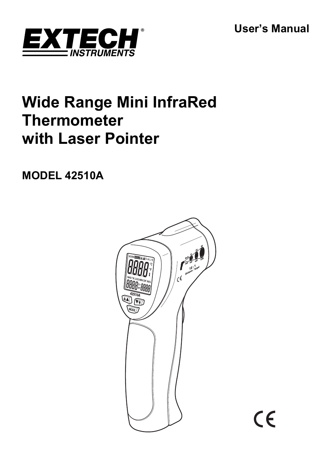**User's Manual** 

CE



# **Wide Range Mini InfraRed Thermometer with Laser Pointer**

**MODEL 42510A** 

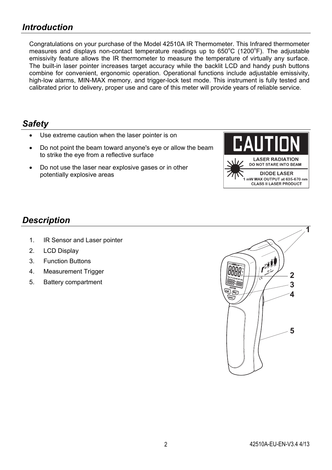Congratulations on your purchase of the Model 42510A IR Thermometer. This Infrared thermometer measures and displays non-contact temperature readings up to  $650^{\circ}$ C (1200 $^{\circ}$ F). The adjustable emissivity feature allows the IR thermometer to measure the temperature of virtually any surface. The built-in laser pointer increases target accuracy while the backlit LCD and handy push buttons combine for convenient, ergonomic operation. Operational functions include adjustable emissivity, high-low alarms, MIN-MAX memory, and trigger-lock test mode. This instrument is fully tested and calibrated prior to delivery, proper use and care of this meter will provide years of reliable service.

### *Safety*

- Use extreme caution when the laser pointer is on
- Do not point the beam toward anyone's eye or allow the beam to strike the eye from a reflective surface
- Do not use the laser near explosive gases or in other potentially explosive areas



### *Description*

- 1. IR Sensor and Laser pointer
- 2. LCD Display
- 3. Function Buttons
- 4. Measurement Trigger
- 5. Battery compartment

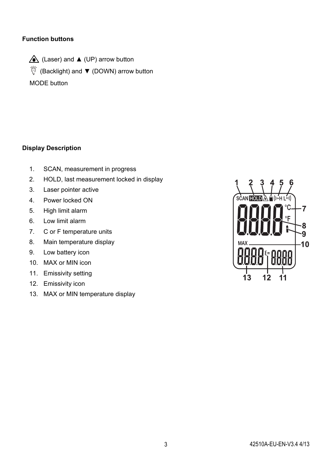### **Function buttons**

 $\triangle$  (Laser) and  $\triangle$  (UP) arrow button (Backlight) and ▼ (DOWN) arrow button MODE button

### **Display Description**

- 1. SCAN, measurement in progress
- 2. HOLD, last measurement locked in display
- 3. Laser pointer active
- 4. Power locked ON
- 5. High limit alarm
- 6. Low limit alarm
- 7. C or F temperature units
- 8. Main temperature display
- 9. Low battery icon
- 10. MAX or MIN icon
- 11. Emissivity setting
- 12. Emissivity icon
- 13. MAX or MIN temperature display

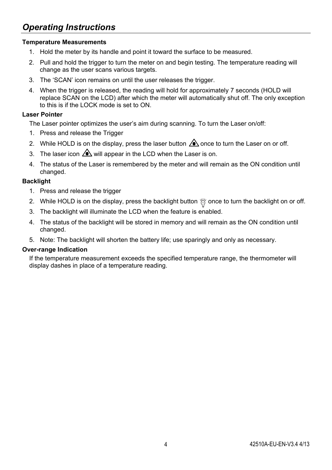### *Operating Instructions*

### **Temperature Measurements**

- 1. Hold the meter by its handle and point it toward the surface to be measured.
- 2. Pull and hold the trigger to turn the meter on and begin testing. The temperature reading will change as the user scans various targets.
- 3. The 'SCAN' icon remains on until the user releases the trigger.
- 4. When the trigger is released, the reading will hold for approximately 7 seconds (HOLD will replace SCAN on the LCD) after which the meter will automatically shut off. The only exception to this is if the LOCK mode is set to ON.

### **Laser Pointer**

The Laser pointer optimizes the user's aim during scanning. To turn the Laser on/off:

- 1. Press and release the Trigger
- 2. While HOLD is on the display, press the laser button  $\bigtriangleup$  once to turn the Laser on or off.
- 3. The laser icon  $\triangle$  will appear in the LCD when the Laser is on.
- 4. The status of the Laser is remembered by the meter and will remain as the ON condition until changed.

### **Backlight**

- 1. Press and release the trigger
- 2. While HOLD is on the display, press the backlight button  $\%$  once to turn the backlight on or off.
- 3. The backlight will illuminate the LCD when the feature is enabled.
- 4. The status of the backlight will be stored in memory and will remain as the ON condition until changed.
- 5. Note: The backlight will shorten the battery life; use sparingly and only as necessary.

#### **Over-range Indication**

If the temperature measurement exceeds the specified temperature range, the thermometer will display dashes in place of a temperature reading.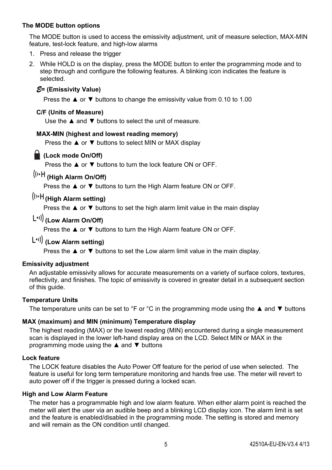### **The MODE button options**

The MODE button is used to access the emissivity adjustment, unit of measure selection, MAX-MIN feature, test-lock feature, and high-low alarms

- 1. Press and release the trigger
- 2. While HOLD is on the display, press the MODE button to enter the programming mode and to step through and configure the following features. A blinking icon indicates the feature is selected.

### *E***= (Emissivity Value)**

Press the ▲ or ▼ buttons to change the emissivity value from 0.10 to 1.00

### **C/F (Units of Measure)**

Use the ▲ and ▼ buttons to select the unit of measure.

### **MAX-MIN (highest and lowest reading memory)**

Press the ▲ or ▼ buttons to select MIN or MAX display

### **(Lock mode On/Off)**

Press the ▲ or ▼ buttons to turn the lock feature ON or OFF.

## **(High Alarm On/Off)**

Press the ▲ or ▼ buttons to turn the High Alarm feature ON or OFF.

### **(High Alarm setting)**

Press the ▲ or ▼ buttons to set the high alarm limit value in the main display

### **(Low Alarm On/Off)**

Press the ▲ or ▼ buttons to turn the High Alarm feature ON or OFF.

### **(Low Alarm setting)**

Press the **▲** or ▼ buttons to set the Low alarm limit value in the main display.

### **Emissivity adjustment**

An adjustable emissivity allows for accurate measurements on a variety of surface colors, textures, reflectivity, and finishes. The topic of emissivity is covered in greater detail in a subsequent section of this guide.

### **Temperature Units**

The temperature units can be set to °F or °C in the programming mode using the **A** and **V** buttons

### **MAX (maximum) and MIN (minimum) Temperature display**

The highest reading (MAX) or the lowest reading (MIN) encountered during a single measurement scan is displayed in the lower left-hand display area on the LCD. Select MIN or MAX in the programming mode using the ▲ and ▼ buttons

### **Lock feature**

The LOCK feature disables the Auto Power Off feature for the period of use when selected. The feature is useful for long term temperature monitoring and hands free use. The meter will revert to auto power off if the trigger is pressed during a locked scan.

### **High and Low Alarm Feature**

The meter has a programmable high and low alarm feature. When either alarm point is reached the meter will alert the user via an audible beep and a blinking LCD display icon. The alarm limit is set and the feature is enabled/disabled in the programming mode. The setting is stored and memory and will remain as the ON condition until changed.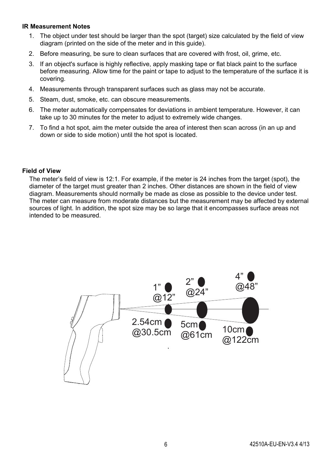### **IR Measurement Notes**

- 1. The object under test should be larger than the spot (target) size calculated by the field of view diagram (printed on the side of the meter and in this guide).
- 2. Before measuring, be sure to clean surfaces that are covered with frost, oil, grime, etc.
- 3. If an object's surface is highly reflective, apply masking tape or flat black paint to the surface before measuring. Allow time for the paint or tape to adjust to the temperature of the surface it is covering.
- 4. Measurements through transparent surfaces such as glass may not be accurate.
- 5. Steam, dust, smoke, etc. can obscure measurements.
- 6. The meter automatically compensates for deviations in ambient temperature. However, it can take up to 30 minutes for the meter to adjust to extremely wide changes.
- 7. To find a hot spot, aim the meter outside the area of interest then scan across (in an up and down or side to side motion) until the hot spot is located.

### **Field of View**

The meter's field of view is 12:1. For example, if the meter is 24 inches from the target (spot), the diameter of the target must greater than 2 inches. Other distances are shown in the field of view diagram. Measurements should normally be made as close as possible to the device under test. The meter can measure from moderate distances but the measurement may be affected by external sources of light. In addition, the spot size may be so large that it encompasses surface areas not intended to be measured.

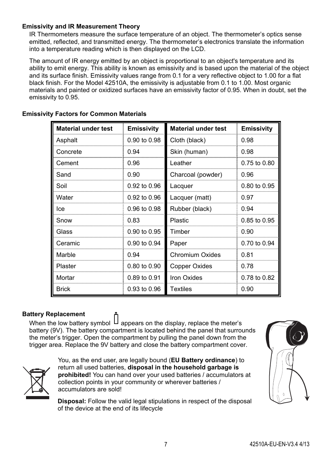### **Emissivity and IR Measurement Theory**

IR Thermometers measure the surface temperature of an object. The thermometer's optics sense emitted, reflected, and transmitted energy. The thermometer's electronics translate the information into a temperature reading which is then displayed on the LCD.

The amount of IR energy emitted by an object is proportional to an object's temperature and its ability to emit energy. This ability is known as emissivity and is based upon the material of the object and its surface finish. Emissivity values range from 0.1 for a very reflective object to 1.00 for a flat black finish. For the Model 42510A, the emissivity is adjustable from 0.1 to 1.00. Most organic materials and painted or oxidized surfaces have an emissivity factor of 0.95. When in doubt, set the emissivity to 0.95.

| <b>Material under test</b> | <b>Emissivity</b> | <b>Material under test</b> | <b>Emissivity</b> |
|----------------------------|-------------------|----------------------------|-------------------|
| Asphalt                    | 0.90 to 0.98      | Cloth (black)              | 0.98              |
| Concrete                   | 0.94              | Skin (human)               | 0.98              |
| Cement                     | 0.96              | Leather                    | 0.75 to 0.80      |
| Sand                       | 0.90              | Charcoal (powder)          | 0.96              |
| Soil                       | 0.92 to 0.96      | Lacquer                    | 0.80 to 0.95      |
| Water                      | 0.92 to 0.96      | Lacquer (matt)             | 0.97              |
| Ice                        | 0.96 to 0.98      | Rubber (black)             | 0.94              |
| Snow                       | 0.83              | Plastic                    | 0.85 to 0.95      |
| Glass                      | 0.90 to 0.95      | Timber                     | 0.90              |
| Ceramic                    | 0.90 to 0.94      | Paper                      | 0.70 to 0.94      |
| Marble                     | 0.94              | <b>Chromium Oxides</b>     | 0.81              |
| Plaster                    | 0.80 to 0.90      | Copper Oxides              | 0.78              |
| Mortar                     | 0.89 to 0.91      | Iron Oxides                | 0.78 to 0.82      |
| <b>Brick</b>               | 0.93 to 0.96      | <b>Textiles</b>            | 0.90              |

### **Emissivity Factors for Common Materials**

#### **Battery Replacement**

When the low battery symbol  $\Box$  appears on the display, replace the meter's battery (9V). The battery compartment is located behind the panel that surrounds the meter's trigger. Open the compartment by pulling the panel down from the trigger area. Replace the 9V battery and close the battery compartment cover.



You, as the end user, are legally bound (**EU Battery ordinance**) to return all used batteries, **disposal in the household garbage is prohibited!** You can hand over your used batteries / accumulators at collection points in your community or wherever batteries / accumulators are sold!

**Disposal:** Follow the valid legal stipulations in respect of the disposal of the device at the end of its lifecycle